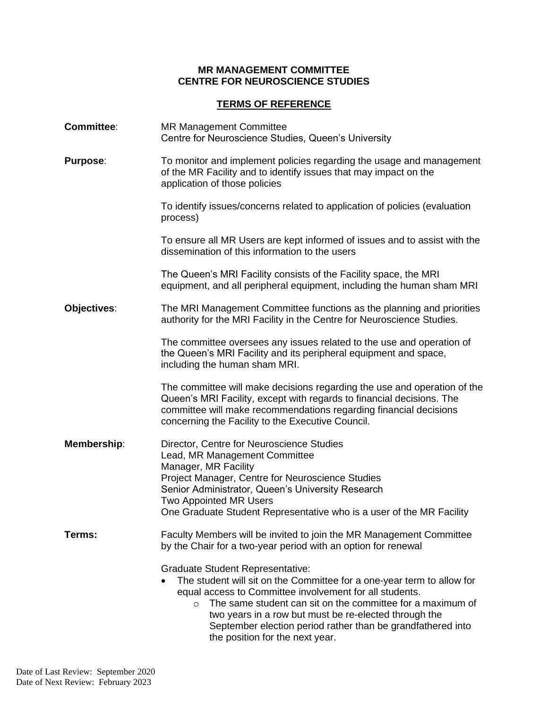## **MR MANAGEMENT COMMITTEE CENTRE FOR NEUROSCIENCE STUDIES**

## **TERMS OF REFERENCE**

| <b>Committee:</b> | <b>MR Management Committee</b><br>Centre for Neuroscience Studies, Queen's University                                                                                                                                                                                                                                                                                                                 |
|-------------------|-------------------------------------------------------------------------------------------------------------------------------------------------------------------------------------------------------------------------------------------------------------------------------------------------------------------------------------------------------------------------------------------------------|
| <b>Purpose:</b>   | To monitor and implement policies regarding the usage and management<br>of the MR Facility and to identify issues that may impact on the<br>application of those policies                                                                                                                                                                                                                             |
|                   | To identify issues/concerns related to application of policies (evaluation<br>process)                                                                                                                                                                                                                                                                                                                |
|                   | To ensure all MR Users are kept informed of issues and to assist with the<br>dissemination of this information to the users                                                                                                                                                                                                                                                                           |
|                   | The Queen's MRI Facility consists of the Facility space, the MRI<br>equipment, and all peripheral equipment, including the human sham MRI                                                                                                                                                                                                                                                             |
| Objectives:       | The MRI Management Committee functions as the planning and priorities<br>authority for the MRI Facility in the Centre for Neuroscience Studies.                                                                                                                                                                                                                                                       |
|                   | The committee oversees any issues related to the use and operation of<br>the Queen's MRI Facility and its peripheral equipment and space,<br>including the human sham MRI.                                                                                                                                                                                                                            |
|                   | The committee will make decisions regarding the use and operation of the<br>Queen's MRI Facility, except with regards to financial decisions. The<br>committee will make recommendations regarding financial decisions<br>concerning the Facility to the Executive Council.                                                                                                                           |
| Membership:       | Director, Centre for Neuroscience Studies<br>Lead, MR Management Committee<br>Manager, MR Facility<br>Project Manager, Centre for Neuroscience Studies<br>Senior Administrator, Queen's University Research<br><b>Two Appointed MR Users</b><br>One Graduate Student Representative who is a user of the MR Facility                                                                                  |
| Terms:            | Faculty Members will be invited to join the MR Management Committee<br>by the Chair for a two-year period with an option for renewal                                                                                                                                                                                                                                                                  |
|                   | <b>Graduate Student Representative:</b><br>The student will sit on the Committee for a one-year term to allow for<br>equal access to Committee involvement for all students.<br>The same student can sit on the committee for a maximum of<br>two years in a row but must be re-elected through the<br>September election period rather than be grandfathered into<br>the position for the next year. |